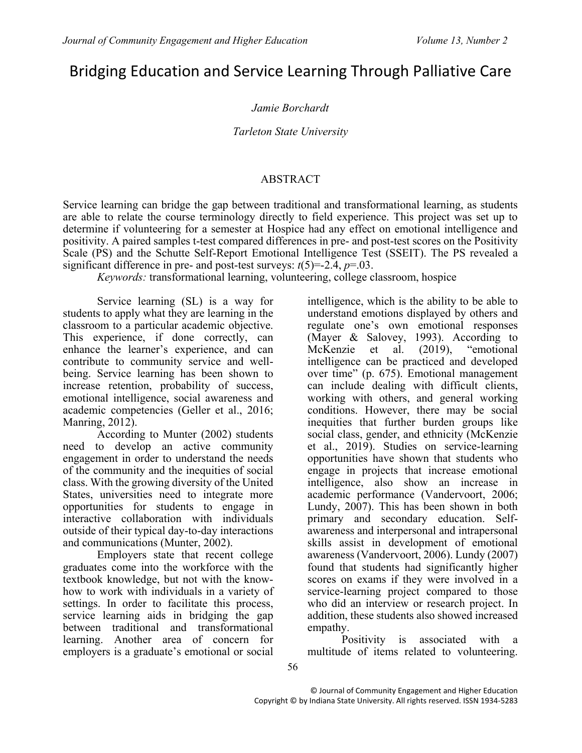# Bridging Education and Service Learning Through Palliative Care

### *Jamie Borchardt*

#### *Tarleton State University*

#### ABSTRACT

Service learning can bridge the gap between traditional and transformational learning, as students are able to relate the course terminology directly to field experience. This project was set up to determine if volunteering for a semester at Hospice had any effect on emotional intelligence and positivity. A paired samples t-test compared differences in pre- and post-test scores on the Positivity Scale (PS) and the Schutte Self-Report Emotional Intelligence Test (SSEIT). The PS revealed a significant difference in pre- and post-test surveys:  $t(5)=2.4$ ,  $p=.03$ .

*Keywords:* transformational learning, volunteering, college classroom, hospice

Service learning (SL) is a way for students to apply what they are learning in the classroom to a particular academic objective. This experience, if done correctly, can enhance the learner's experience, and can contribute to community service and wellbeing. Service learning has been shown to increase retention, probability of success, emotional intelligence, social awareness and academic competencies (Geller et al., 2016; Manring, 2012).

According to Munter (2002) students need to develop an active community engagement in order to understand the needs of the community and the inequities of social class. With the growing diversity of the United States, universities need to integrate more opportunities for students to engage in interactive collaboration with individuals outside of their typical day-to-day interactions and communications (Munter, 2002).

Employers state that recent college graduates come into the workforce with the textbook knowledge, but not with the knowhow to work with individuals in a variety of settings. In order to facilitate this process, service learning aids in bridging the gap between traditional and transformational learning. Another area of concern for employers is a graduate's emotional or social

intelligence, which is the ability to be able to understand emotions displayed by others and regulate one's own emotional responses (Mayer & Salovey, 1993). According to McKenzie et al. (2019), "emotional intelligence can be practiced and developed over time" (p. 675). Emotional management can include dealing with difficult clients, working with others, and general working conditions. However, there may be social inequities that further burden groups like social class, gender, and ethnicity (McKenzie et al., 2019). Studies on service-learning opportunities have shown that students who engage in projects that increase emotional intelligence, also show an increase in academic performance (Vandervoort, 2006; Lundy, 2007). This has been shown in both primary and secondary education. Selfawareness and interpersonal and intrapersonal skills assist in development of emotional awareness (Vandervoort, 2006). Lundy (2007) found that students had significantly higher scores on exams if they were involved in a service-learning project compared to those who did an interview or research project. In addition, these students also showed increased empathy.

Positivity is associated with a multitude of items related to volunteering.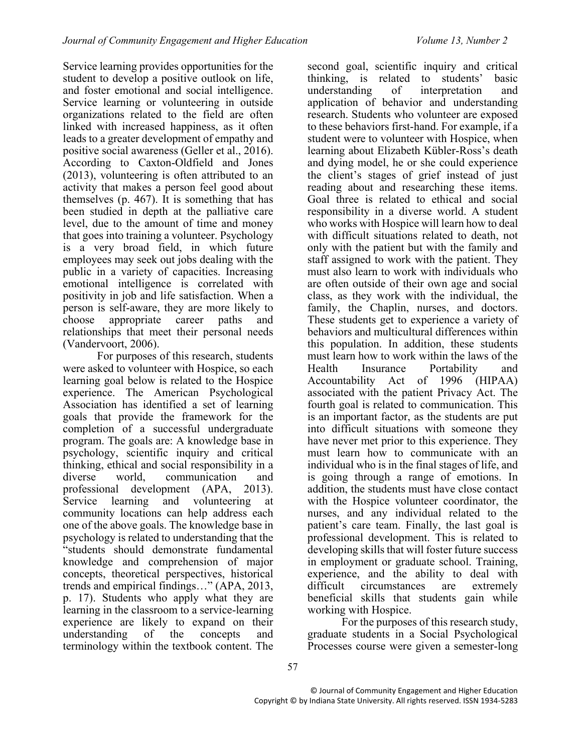Service learning provides opportunities for the student to develop a positive outlook on life, and foster emotional and social intelligence. Service learning or volunteering in outside organizations related to the field are often linked with increased happiness, as it often leads to a greater development of empathy and positive social awareness (Geller et al., 2016). According to Caxton-Oldfield and Jones (2013), volunteering is often attributed to an activity that makes a person feel good about themselves (p. 467). It is something that has been studied in depth at the palliative care level, due to the amount of time and money that goes into training a volunteer. Psychology is a very broad field, in which future employees may seek out jobs dealing with the public in a variety of capacities. Increasing emotional intelligence is correlated with positivity in job and life satisfaction. When a person is self-aware, they are more likely to choose appropriate career paths and relationships that meet their personal needs (Vandervoort, 2006).

For purposes of this research, students were asked to volunteer with Hospice, so each learning goal below is related to the Hospice experience. The American Psychological Association has identified a set of learning goals that provide the framework for the completion of a successful undergraduate program. The goals are: A knowledge base in psychology, scientific inquiry and critical thinking, ethical and social responsibility in a diverse world, communication and professional development (APA, 2013).<br>Service learning and volunteering at learning and volunteering at community locations can help address each one of the above goals. The knowledge base in psychology is related to understanding that the "students should demonstrate fundamental knowledge and comprehension of major concepts, theoretical perspectives, historical trends and empirical findings…" (APA, 2013, p. 17). Students who apply what they are learning in the classroom to a service-learning experience are likely to expand on their understanding of the concepts and terminology within the textbook content. The

second goal, scientific inquiry and critical thinking, is related to students' basic understanding of interpretation and application of behavior and understanding research. Students who volunteer are exposed to these behaviors first-hand. For example, if a student were to volunteer with Hospice, when learning about Elizabeth Kübler-Ross's death and dying model, he or she could experience the client's stages of grief instead of just reading about and researching these items. Goal three is related to ethical and social responsibility in a diverse world. A student who works with Hospice will learn how to deal with difficult situations related to death, not only with the patient but with the family and staff assigned to work with the patient. They must also learn to work with individuals who are often outside of their own age and social class, as they work with the individual, the family, the Chaplin, nurses, and doctors. These students get to experience a variety of behaviors and multicultural differences within this population. In addition, these students must learn how to work within the laws of the Health Insurance Portability and Accountability Act of 1996 (HIPAA) associated with the patient Privacy Act. The fourth goal is related to communication. This is an important factor, as the students are put into difficult situations with someone they have never met prior to this experience. They must learn how to communicate with an individual who is in the final stages of life, and is going through a range of emotions. In addition, the students must have close contact with the Hospice volunteer coordinator, the nurses, and any individual related to the patient's care team. Finally, the last goal is professional development. This is related to developing skills that will foster future success in employment or graduate school. Training, experience, and the ability to deal with difficult circumstances are extremely beneficial skills that students gain while working with Hospice.

For the purposes of this research study, graduate students in a Social Psychological Processes course were given a semester-long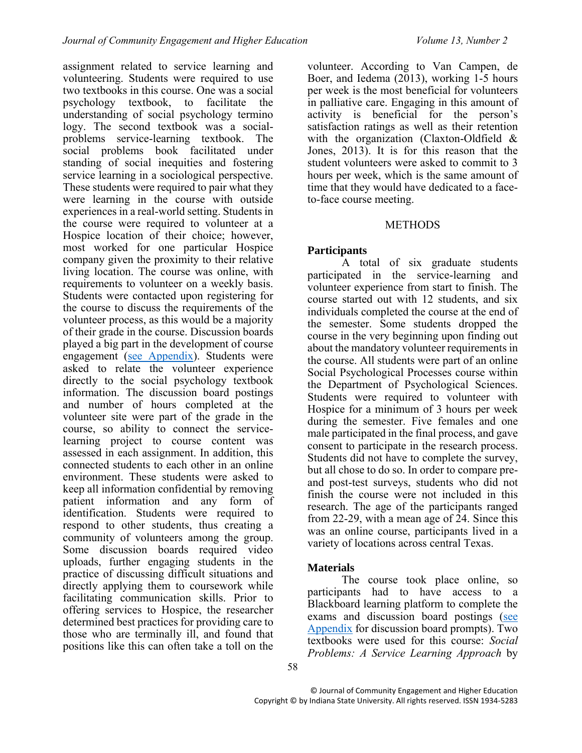assignment related to service learning and volunteering. Students were required to use two textbooks in this course. One was a social psychology textbook, to facilitate the understanding of social psychology termino logy. The second textbook was a socialproblems service-learning textbook. The social problems book facilitated under standing of social inequities and fostering service learning in a sociological perspective. These students were required to pair what they were learning in the course with outside experiences in a real-world setting. Students in the course were required to volunteer at a Hospice location of their choice; however, most worked for one particular Hospice company given the proximity to their relative living location. The course was online, with requirements to volunteer on a weekly basis. Students were contacted upon registering for the course to discuss the requirements of the volunteer process, as this would be a majority of their grade in the course. Discussion boards played a big part in the development of course engagement [\(see Appendix\)](#page-8-0). Students were asked to relate the volunteer experience directly to the social psychology textbook information. The discussion board postings and number of hours completed at the volunteer site were part of the grade in the course, so ability to connect the servicelearning project to course content was assessed in each assignment. In addition, this connected students to each other in an online environment. These students were asked to keep all information confidential by removing patient information and any form of identification. Students were required to respond to other students, thus creating a community of volunteers among the group. Some discussion boards required video uploads, further engaging students in the practice of discussing difficult situations and directly applying them to coursework while facilitating communication skills. Prior to offering services to Hospice, the researcher determined best practices for providing care to those who are terminally ill, and found that positions like this can often take a toll on the

volunteer. According to Van Campen, de Boer, and Iedema (2013), working 1-5 hours per week is the most beneficial for volunteers in palliative care. Engaging in this amount of activity is beneficial for the person's satisfaction ratings as well as their retention with the organization (Claxton-Oldfield & Jones, 2013). It is for this reason that the student volunteers were asked to commit to 3 hours per week, which is the same amount of time that they would have dedicated to a faceto-face course meeting.

#### **METHODS**

### **Participants**

<span id="page-2-0"></span>A total of six graduate students participated in the service-learning and volunteer experience from start to finish. The course started out with 12 students, and six individuals completed the course at the end of the semester. Some students dropped the course in the very beginning upon finding out about the mandatory volunteer requirements in the course. All students were part of an online Social Psychological Processes course within the Department of Psychological Sciences. Students were required to volunteer with Hospice for a minimum of 3 hours per week during the semester. Five females and one male participated in the final process, and gave consent to participate in the research process. Students did not have to complete the survey, but all chose to do so. In order to compare preand post-test surveys, students who did not finish the course were not included in this research. The age of the participants ranged from 22-29, with a mean age of 24. Since this was an online course, participants lived in a variety of locations across central Texas.

### **Materials**

The course took place online, so participants had to have access to a Blackboard learning platform to complete the exams and discussion board postings [\(see](#page-8-0)  [Appendix](#page-8-0) for discussion board prompts). Two textbooks were used for this course: *Social Problems: A Service Learning Approach* by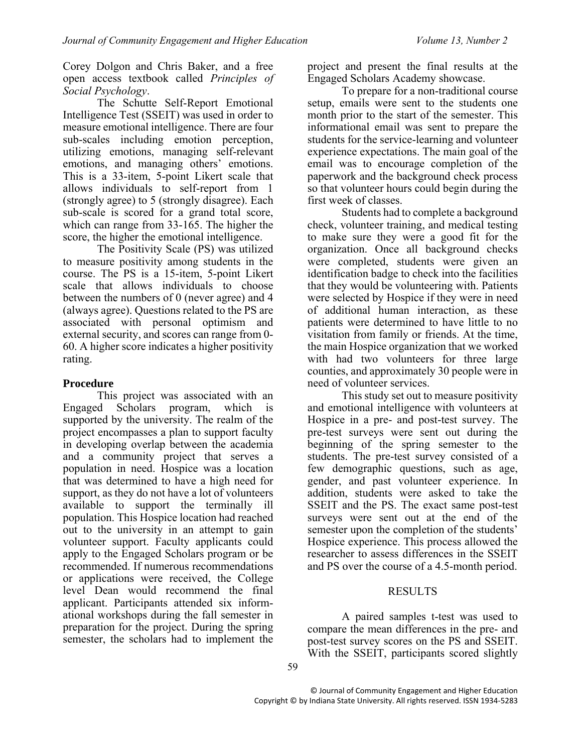Corey Dolgon and Chris Baker, and a free open access textbook called *Principles of Social Psychology*.

The Schutte Self-Report Emotional Intelligence Test (SSEIT) was used in order to measure emotional intelligence. There are four sub-scales including emotion perception, utilizing emotions, managing self-relevant emotions, and managing others' emotions. This is a 33-item, 5-point Likert scale that allows individuals to self-report from 1 (strongly agree) to 5 (strongly disagree). Each sub-scale is scored for a grand total score, which can range from 33-165. The higher the score, the higher the emotional intelligence.

The Positivity Scale (PS) was utilized to measure positivity among students in the course. The PS is a 15-item, 5-point Likert scale that allows individuals to choose between the numbers of 0 (never agree) and 4 (always agree). Questions related to the PS are associated with personal optimism and external security, and scores can range from 0- 60. A higher score indicates a higher positivity rating.

#### **Procedure**

This project was associated with an Engaged Scholars program, which is supported by the university. The realm of the project encompasses a plan to support faculty in developing overlap between the academia and a community project that serves a population in need. Hospice was a location that was determined to have a high need for support, as they do not have a lot of volunteers available to support the terminally ill population. This Hospice location had reached out to the university in an attempt to gain volunteer support. Faculty applicants could apply to the Engaged Scholars program or be recommended. If numerous recommendations or applications were received, the College level Dean would recommend the final applicant. Participants attended six informational workshops during the fall semester in preparation for the project. During the spring semester, the scholars had to implement the project and present the final results at the Engaged Scholars Academy showcase.

To prepare for a non-traditional course setup, emails were sent to the students one month prior to the start of the semester. This informational email was sent to prepare the students for the service-learning and volunteer experience expectations. The main goal of the email was to encourage completion of the paperwork and the background check process so that volunteer hours could begin during the first week of classes.

Students had to complete a background check, volunteer training, and medical testing to make sure they were a good fit for the organization. Once all background checks were completed, students were given an identification badge to check into the facilities that they would be volunteering with. Patients were selected by Hospice if they were in need of additional human interaction, as these patients were determined to have little to no visitation from family or friends. At the time, the main Hospice organization that we worked with had two volunteers for three large counties, and approximately 30 people were in need of volunteer services.

This study set out to measure positivity and emotional intelligence with volunteers at Hospice in a pre- and post-test survey. The pre-test surveys were sent out during the beginning of the spring semester to the students. The pre-test survey consisted of a few demographic questions, such as age, gender, and past volunteer experience. In addition, students were asked to take the SSEIT and the PS. The exact same post-test surveys were sent out at the end of the semester upon the completion of the students' Hospice experience. This process allowed the researcher to assess differences in the SSEIT and PS over the course of a 4.5-month period.

#### **RESULTS**

A paired samples t-test was used to compare the mean differences in the pre- and post-test survey scores on the PS and SSEIT. With the SSEIT, participants scored slightly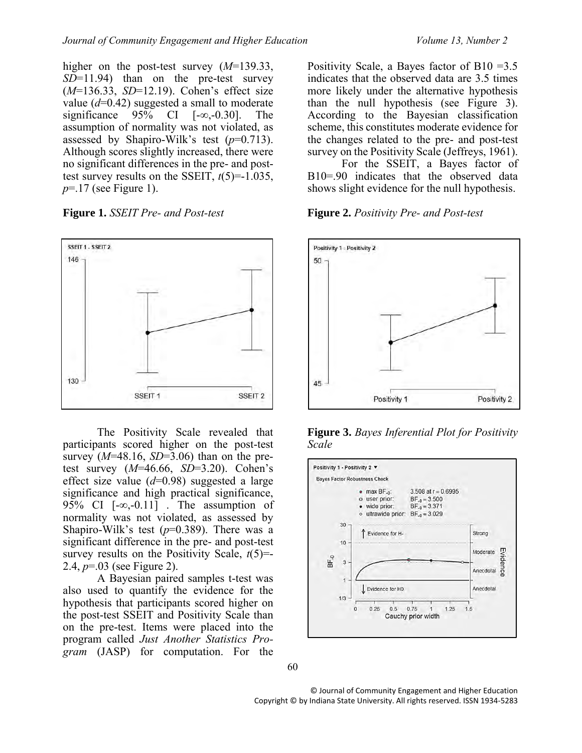higher on the post-test survey (*M*=139.33, *SD*=11.94) than on the pre-test survey (*M*=136.33, *SD*=12.19). Cohen's effect size value  $(d=0.42)$  suggested a small to moderate significance  $95\%$  CI  $[-\infty, -0.30]$ . The assumption of normality was not violated, as assessed by Shapiro-Wilk's test (*p*=0.713). Although scores slightly increased, there were no significant differences in the pre- and posttest survey results on the SSEIT,  $t(5)=1.035$ , *p*=.17 (see Figure 1).





The Positivity Scale revealed that participants scored higher on the post-test survey  $(M=48.16, SD=3.06)$  than on the pretest survey (*M*=46.66, *SD*=3.20). Cohen's effect size value (*d*=0.98) suggested a large significance and high practical significance, 95% CI [-∞,-0.11] . The assumption of normality was not violated, as assessed by Shapiro-Wilk's test (*p*=0.389). There was a significant difference in the pre- and post-test survey results on the Positivity Scale, *t*(5)=- 2.4, *p*=.03 (see Figure 2).

A Bayesian paired samples t-test was also used to quantify the evidence for the hypothesis that participants scored higher on the post-test SSEIT and Positivity Scale than on the pre-test. Items were placed into the program called *Just Another Statistics Program* (JASP) for computation. For the

Positivity Scale, a Bayes factor of B10 =  $3.5$ indicates that the observed data are 3.5 times more likely under the alternative hypothesis than the null hypothesis (see Figure 3). According to the Bayesian classification scheme, this constitutes moderate evidence for the changes related to the pre- and post-test survey on the Positivity Scale (Jeffreys, 1961).

For the SSEIT, a Bayes factor of B10=.90 indicates that the observed data shows slight evidence for the null hypothesis.

#### **Figure 2.** *Positivity Pre- and Post-test*



**Figure 3.** *Bayes Inferential Plot for Positivity Scale*



© Journal of Community Engagement and Higher Education Copyright © by Indiana State University. All rights reserved. ISSN 1934-5283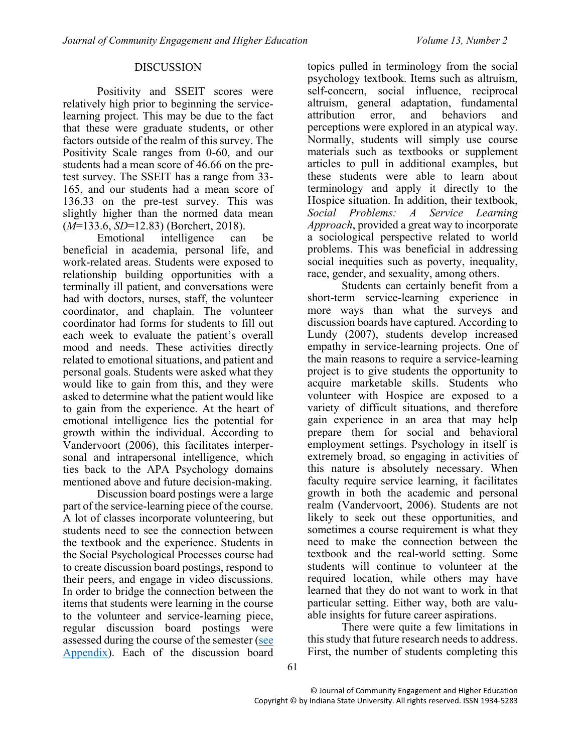#### DISCUSSION

Positivity and SSEIT scores were relatively high prior to beginning the servicelearning project. This may be due to the fact that these were graduate students, or other factors outside of the realm of this survey. The Positivity Scale ranges from 0-60, and our students had a mean score of 46.66 on the pretest survey. The SSEIT has a range from 33- 165, and our students had a mean score of 136.33 on the pre-test survey. This was slightly higher than the normed data mean (*M*=133.6, *SD*=12.83) (Borchert, 2018).

Emotional intelligence can be beneficial in academia, personal life, and work-related areas. Students were exposed to relationship building opportunities with a terminally ill patient, and conversations were had with doctors, nurses, staff, the volunteer coordinator, and chaplain. The volunteer coordinator had forms for students to fill out each week to evaluate the patient's overall mood and needs. These activities directly related to emotional situations, and patient and personal goals. Students were asked what they would like to gain from this, and they were asked to determine what the patient would like to gain from the experience. At the heart of emotional intelligence lies the potential for growth within the individual. According to Vandervoort (2006), this facilitates interpersonal and intrapersonal intelligence, which ties back to the APA Psychology domains mentioned above and future decision-making.

Discussion board postings were a large part of the service-learning piece of the course. A lot of classes incorporate volunteering, but students need to see the connection between the textbook and the experience. Students in the Social Psychological Processes course had to create discussion board postings, respond to their peers, and engage in video discussions. In order to bridge the connection between the items that students were learning in the course to the volunteer and service-learning piece, regular discussion board postings were assessed during the course of the semester [\(see](#page-8-0)  [Appendix\)](#page-8-0). Each of the discussion board topics pulled in terminology from the social psychology textbook. Items such as altruism, self-concern, social influence, reciprocal altruism, general adaptation, fundamental attribution error, and behaviors and perceptions were explored in an atypical way. Normally, students will simply use course materials such as textbooks or supplement articles to pull in additional examples, but these students were able to learn about terminology and apply it directly to the Hospice situation. In addition, their textbook, *Social Problems: A Service Learning Approach*, provided a great way to incorporate a sociological perspective related to world problems. This was beneficial in addressing social inequities such as poverty, inequality, race, gender, and sexuality, among others.

Students can certainly benefit from a short-term service-learning experience in more ways than what the surveys and discussion boards have captured. According to Lundy (2007), students develop increased empathy in service-learning projects. One of the main reasons to require a service-learning project is to give students the opportunity to acquire marketable skills. Students who volunteer with Hospice are exposed to a variety of difficult situations, and therefore gain experience in an area that may help prepare them for social and behavioral employment settings. Psychology in itself is extremely broad, so engaging in activities of this nature is absolutely necessary. When faculty require service learning, it facilitates growth in both the academic and personal realm (Vandervoort, 2006). Students are not likely to seek out these opportunities, and sometimes a course requirement is what they need to make the connection between the textbook and the real-world setting. Some students will continue to volunteer at the required location, while others may have learned that they do not want to work in that particular setting. Either way, both are valuable insights for future career aspirations.

There were quite a few limitations in this study that future research needs to address. First, the number of students completing this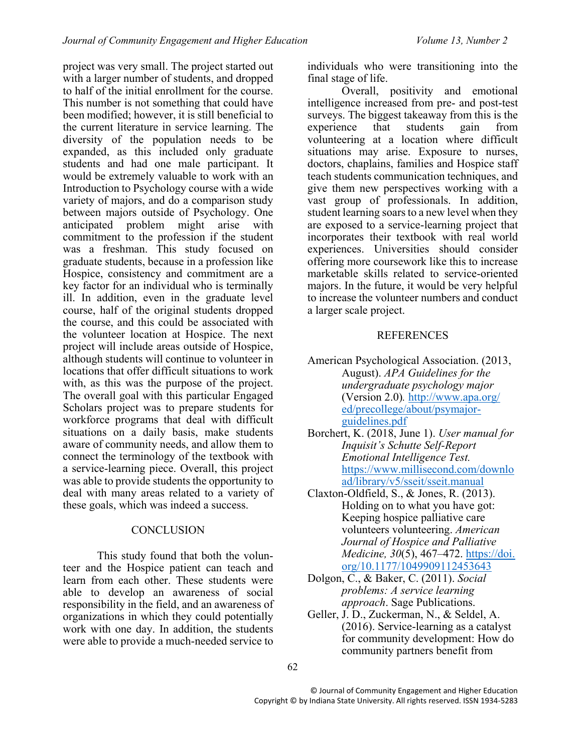project was very small. The project started out with a larger number of students, and dropped to half of the initial enrollment for the course. This number is not something that could have been modified; however, it is still beneficial to the current literature in service learning. The diversity of the population needs to be expanded, as this included only graduate students and had one male participant. It would be extremely valuable to work with an Introduction to Psychology course with a wide variety of majors, and do a comparison study between majors outside of Psychology. One anticipated problem might arise with commitment to the profession if the student was a freshman. This study focused on graduate students, because in a profession like Hospice, consistency and commitment are a key factor for an individual who is terminally ill. In addition, even in the graduate level course, half of the original students dropped the course, and this could be associated with the volunteer location at Hospice. The next project will include areas outside of Hospice, although students will continue to volunteer in locations that offer difficult situations to work with, as this was the purpose of the project. The overall goal with this particular Engaged Scholars project was to prepare students for workforce programs that deal with difficult situations on a daily basis, make students aware of community needs, and allow them to connect the terminology of the textbook with a service-learning piece. Overall, this project was able to provide students the opportunity to deal with many areas related to a variety of these goals, which was indeed a success.

#### **CONCLUSION**

This study found that both the volunteer and the Hospice patient can teach and learn from each other. These students were able to develop an awareness of social responsibility in the field, and an awareness of organizations in which they could potentially work with one day. In addition, the students were able to provide a much-needed service to

individuals who were transitioning into the final stage of life.

Overall, positivity and emotional intelligence increased from pre- and post-test surveys. The biggest takeaway from this is the experience that students gain from volunteering at a location where difficult situations may arise. Exposure to nurses, doctors, chaplains, families and Hospice staff teach students communication techniques, and give them new perspectives working with a vast group of professionals. In addition, student learning soars to a new level when they are exposed to a service-learning project that incorporates their textbook with real world experiences. Universities should consider offering more coursework like this to increase marketable skills related to service-oriented majors. In the future, it would be very helpful to increase the volunteer numbers and conduct a larger scale project.

#### **REFERENCES**

- American Psychological Association. (2013, August). *APA Guidelines for the undergraduate psychology major* (Version 2.0)*.* [http://www.apa.org/](http://www.apa.org/%20ed/precollege/about/psymajor-guidelines.pdf)  [ed/precollege/about/psymajor](http://www.apa.org/%20ed/precollege/about/psymajor-guidelines.pdf)[guidelines.pdf](http://www.apa.org/%20ed/precollege/about/psymajor-guidelines.pdf)
- Borchert, K. (2018, June 1). *User manual for Inquisit's Schutte Self-Report Emotional Intelligence Test.* [https://www.millisecond.com/downlo](https://www.millisecond.com/download/library/v5/sseit/sseit.manual) [ad/library/v5/sseit/sseit.manual](https://www.millisecond.com/download/library/v5/sseit/sseit.manual)
- Claxton-Oldfield, S., & Jones, R. (2013). Holding on to what you have got: Keeping hospice palliative care volunteers volunteering. *American Journal of Hospice and Palliative Medicine, 30*(5), 467–472. https://doi. org[/10.1177/1049909112453643](http://dx.doi.org/10.1177/1049909112453643)
- Dolgon, C., & Baker, C. (2011). *Social problems: A service learning approach*. Sage Publications.
- Geller, J. D., Zuckerman, N., & Seldel, A. (2016). Service-learning as a catalyst for community development: How do community partners benefit from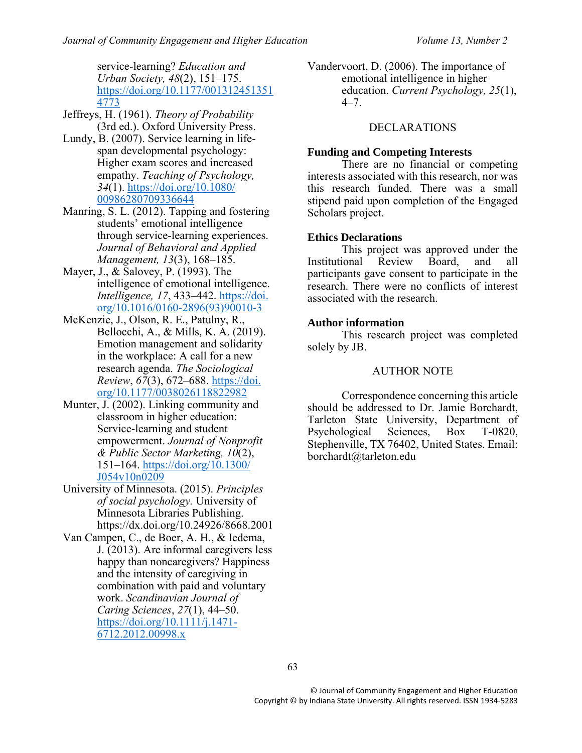service-learning? *Education and Urban Society, 48*(2), 151–175. [https://doi.org/10.1177/001312451351](https://doi.org/10.1177/0013124513514773) [4773](https://doi.org/10.1177/0013124513514773)

- Jeffreys, H. (1961). *Theory of Probability* (3rd ed.). Oxford University Press.
- Lundy, B. (2007). Service learning in lifespan developmental psychology: Higher exam scores and increased empathy. *Teaching of Psychology, 34*(1). [https://doi.org/10.1080/](https://doi.org/10.1080/%2000986280709336644)  [00986280709336644](https://doi.org/10.1080/%2000986280709336644)
- Manring, S. L. (2012). Tapping and fostering students' emotional intelligence through service-learning experiences. *Journal of Behavioral and Applied Management, 13*(3), 168–185.
- Mayer, J., & Salovey, P. (1993). The intelligence of emotional intelligence. *Intelligence, 17*, 433–442. https://doi. org/10.1016/0160-2896(93)90010-3
- McKenzie, J., Olson, R. E., Patulny, R., Bellocchi, A., & Mills, K. A. (2019). Emotion management and solidarity in the workplace: A call for a new research agenda. *The Sociological Review*, *67*(3), 672–688. https://doi. org/10.1177/0038026118822982
- Munter, J. (2002). Linking community and classroom in higher education: Service-learning and student empowerment. *Journal of Nonprofit & Public Sector Marketing, 10*(2), 151–164. [https://doi.org/10.1300/](https://doi.org/10.1300/%20J054v10n0209)  [J054v10n0209](https://doi.org/10.1300/%20J054v10n0209)
- University of Minnesota. (2015). *Principles of social psychology.* University of Minnesota Libraries Publishing. https://dx.doi.org/10.24926/8668.2001
- Van Campen, C., de Boer, A. H., & Iedema, J. (2013). Are informal caregivers less happy than noncaregivers? Happiness and the intensity of caregiving in combination with paid and voluntary work. *Scandinavian Journal of Caring Sciences*, *27*(1), 44–50. [https://doi.org/10.1111/j.1471-](https://doi.org/10.1111/j.1471-6712.2012.00998.x) [6712.2012.00998.x](https://doi.org/10.1111/j.1471-6712.2012.00998.x)

Vandervoort, D. (2006). The importance of emotional intelligence in higher education. *Current Psychology, 25*(1),  $4 - 7$ 

#### DECLARATIONS

#### **Funding and Competing Interests**

There are no financial or competing interests associated with this research, nor was this research funded. There was a small stipend paid upon completion of the Engaged Scholars project.

#### **Ethics Declarations**

This project was approved under the Institutional Review Board, and all participants gave consent to participate in the research. There were no conflicts of interest associated with the research.

#### **Author information**

This research project was completed solely by JB.

#### AUTHOR NOTE

Correspondence concerning this article should be addressed to Dr. Jamie Borchardt, Tarleton State University, Department of Psychological Sciences, Box T-0820, Stephenville, TX 76402, United States. Email: borchardt@tarleton.edu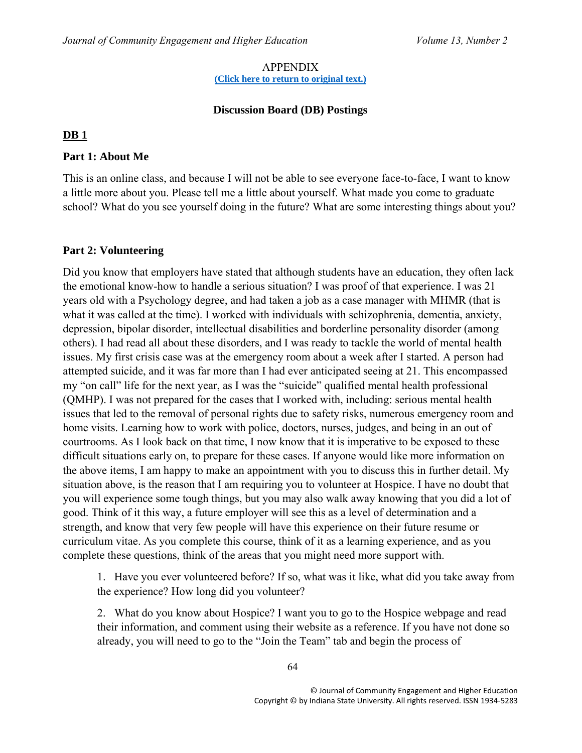#### APPENDIX **[\(Click here to return to original text.\)](#page-2-0)**

### **Discussion Board (DB) Postings**

### <span id="page-8-0"></span>**DB 1**

### **Part 1: About Me**

This is an online class, and because I will not be able to see everyone face-to-face, I want to know a little more about you. Please tell me a little about yourself. What made you come to graduate school? What do you see yourself doing in the future? What are some interesting things about you?

### **Part 2: Volunteering**

Did you know that employers have stated that although students have an education, they often lack the emotional know-how to handle a serious situation? I was proof of that experience. I was 21 years old with a Psychology degree, and had taken a job as a case manager with MHMR (that is what it was called at the time). I worked with individuals with schizophrenia, dementia, anxiety, depression, bipolar disorder, intellectual disabilities and borderline personality disorder (among others). I had read all about these disorders, and I was ready to tackle the world of mental health issues. My first crisis case was at the emergency room about a week after I started. A person had attempted suicide, and it was far more than I had ever anticipated seeing at 21. This encompassed my "on call" life for the next year, as I was the "suicide" qualified mental health professional (QMHP). I was not prepared for the cases that I worked with, including: serious mental health issues that led to the removal of personal rights due to safety risks, numerous emergency room and home visits. Learning how to work with police, doctors, nurses, judges, and being in an out of courtrooms. As I look back on that time, I now know that it is imperative to be exposed to these difficult situations early on, to prepare for these cases. If anyone would like more information on the above items, I am happy to make an appointment with you to discuss this in further detail. My situation above, is the reason that I am requiring you to volunteer at Hospice. I have no doubt that you will experience some tough things, but you may also walk away knowing that you did a lot of good. Think of it this way, a future employer will see this as a level of determination and a strength, and know that very few people will have this experience on their future resume or curriculum vitae. As you complete this course, think of it as a learning experience, and as you complete these questions, think of the areas that you might need more support with.

1. Have you ever volunteered before? If so, what was it like, what did you take away from the experience? How long did you volunteer?

2. What do you know about Hospice? I want you to go to the Hospice webpage and read their information, and comment using their website as a reference. If you have not done so already, you will need to go to the "Join the Team" tab and begin the process of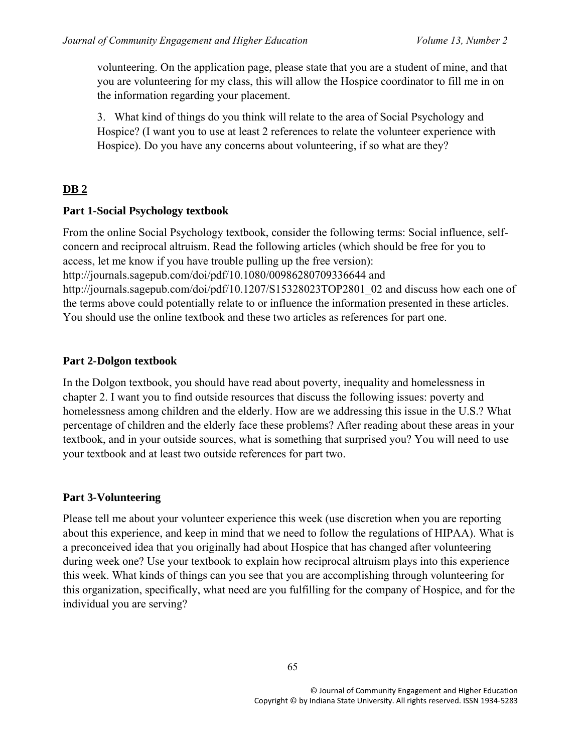volunteering. On the application page, please state that you are a student of mine, and that you are volunteering for my class, this will allow the Hospice coordinator to fill me in on the information regarding your placement.

3. What kind of things do you think will relate to the area of Social Psychology and Hospice? (I want you to use at least 2 references to relate the volunteer experience with Hospice). Do you have any concerns about volunteering, if so what are they?

## **DB 2**

### **Part 1-Social Psychology textbook**

From the online Social Psychology textbook, consider the following terms: Social influence, selfconcern and reciprocal altruism. Read the following articles (which should be free for you to access, let me know if you have trouble pulling up the free version):

http://journals.sagepub.com/doi/pdf/10.1080/00986280709336644 and

http://journals.sagepub.com/doi/pdf/10.1207/S15328023TOP2801\_02 and discuss how each one of the terms above could potentially relate to or influence the information presented in these articles. You should use the online textbook and these two articles as references for part one.

## **Part 2-Dolgon textbook**

In the Dolgon textbook, you should have read about poverty, inequality and homelessness in chapter 2. I want you to find outside resources that discuss the following issues: poverty and homelessness among children and the elderly. How are we addressing this issue in the U.S.? What percentage of children and the elderly face these problems? After reading about these areas in your textbook, and in your outside sources, what is something that surprised you? You will need to use your textbook and at least two outside references for part two.

## **Part 3-Volunteering**

Please tell me about your volunteer experience this week (use discretion when you are reporting about this experience, and keep in mind that we need to follow the regulations of HIPAA). What is a preconceived idea that you originally had about Hospice that has changed after volunteering during week one? Use your textbook to explain how reciprocal altruism plays into this experience this week. What kinds of things can you see that you are accomplishing through volunteering for this organization, specifically, what need are you fulfilling for the company of Hospice, and for the individual you are serving?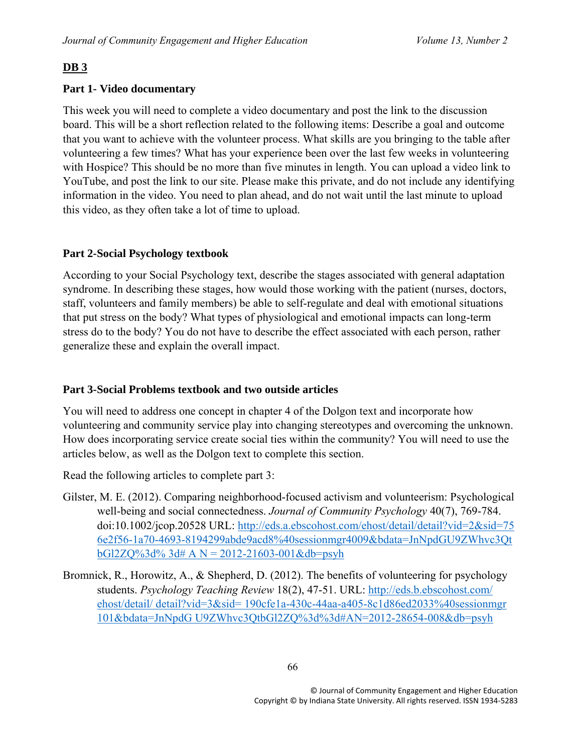## **DB 3**

## **Part 1- Video documentary**

This week you will need to complete a video documentary and post the link to the discussion board. This will be a short reflection related to the following items: Describe a goal and outcome that you want to achieve with the volunteer process. What skills are you bringing to the table after volunteering a few times? What has your experience been over the last few weeks in volunteering with Hospice? This should be no more than five minutes in length. You can upload a video link to YouTube, and post the link to our site. Please make this private, and do not include any identifying information in the video. You need to plan ahead, and do not wait until the last minute to upload this video, as they often take a lot of time to upload.

## **Part 2-Social Psychology textbook**

According to your Social Psychology text, describe the stages associated with general adaptation syndrome. In describing these stages, how would those working with the patient (nurses, doctors, staff, volunteers and family members) be able to self-regulate and deal with emotional situations that put stress on the body? What types of physiological and emotional impacts can long-term stress do to the body? You do not have to describe the effect associated with each person, rather generalize these and explain the overall impact.

### **Part 3-Social Problems textbook and two outside articles**

You will need to address one concept in chapter 4 of the Dolgon text and incorporate how volunteering and community service play into changing stereotypes and overcoming the unknown. How does incorporating service create social ties within the community? You will need to use the articles below, as well as the Dolgon text to complete this section.

Read the following articles to complete part 3:

- Gilster, M. E. (2012). Comparing neighborhood-focused activism and volunteerism: Psychological well-being and social connectedness. *Journal of Community Psychology* 40(7), 769-784. doi:10.1002/jcop.20528 URL: [http://eds.a.ebscohost.com/ehost/detail/detail?vid=2&sid=75](http://eds.a.ebscohost.com/ehost/detail/detail?vid=2&sid=75%206e2f56-1a70-4693-8194299abde9acd8%40sessionmgr4009&bdata=JnNpdGU9ZWhvc3Qt%20bGl2ZQ%3d%25%203d# A N = 2012-21603-001&db=psyh)  [6e2f56-1a70-4693-8194299abde9acd8%40sessionmgr4009&bdata=JnNpdGU9ZWhvc3Qt](http://eds.a.ebscohost.com/ehost/detail/detail?vid=2&sid=75%206e2f56-1a70-4693-8194299abde9acd8%40sessionmgr4009&bdata=JnNpdGU9ZWhvc3Qt%20bGl2ZQ%3d%25%203d# A N = 2012-21603-001&db=psyh)   $bG12ZQ\%3d\%3d\# A N = 2012-21603-001\&db=psyh$
- Bromnick, R., Horowitz, A., & Shepherd, D. (2012). The benefits of volunteering for psychology students. *Psychology Teaching Review* 18(2), 47-51. URL: [http://eds.b.ebscohost.com/](http://eds.b.ebscohost.com/%20ehost/detail/)  [ehost/detail/](http://eds.b.ebscohost.com/%20ehost/detail/) detail?vid=3&sid= 190cfe1a-430c-44aa-a405-8c1d86ed2033%40sessionmgr 101&bdata=JnNpdG U9ZWhvc3QtbGl2ZQ%3d%3d#AN=2012-28654-008&db=psyh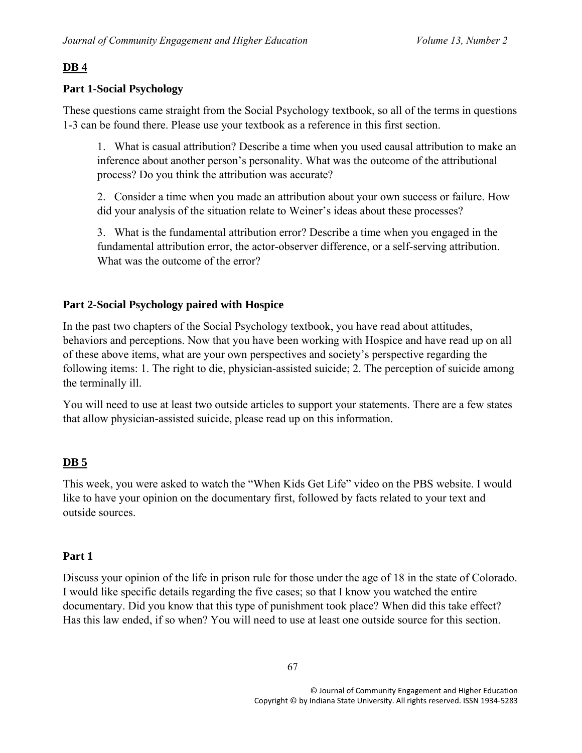## **DB 4**

## **Part 1-Social Psychology**

These questions came straight from the Social Psychology textbook, so all of the terms in questions 1-3 can be found there. Please use your textbook as a reference in this first section.

1. What is casual attribution? Describe a time when you used causal attribution to make an inference about another person's personality. What was the outcome of the attributional process? Do you think the attribution was accurate?

2. Consider a time when you made an attribution about your own success or failure. How did your analysis of the situation relate to Weiner's ideas about these processes?

3. What is the fundamental attribution error? Describe a time when you engaged in the fundamental attribution error, the actor-observer difference, or a self-serving attribution. What was the outcome of the error?

### **Part 2-Social Psychology paired with Hospice**

In the past two chapters of the Social Psychology textbook, you have read about attitudes, behaviors and perceptions. Now that you have been working with Hospice and have read up on all of these above items, what are your own perspectives and society's perspective regarding the following items: 1. The right to die, physician-assisted suicide; 2. The perception of suicide among the terminally ill.

You will need to use at least two outside articles to support your statements. There are a few states that allow physician-assisted suicide, please read up on this information.

### **DB 5**

This week, you were asked to watch the "When Kids Get Life" video on the PBS website. I would like to have your opinion on the documentary first, followed by facts related to your text and outside sources.

### **Part 1**

Discuss your opinion of the life in prison rule for those under the age of 18 in the state of Colorado. I would like specific details regarding the five cases; so that I know you watched the entire documentary. Did you know that this type of punishment took place? When did this take effect? Has this law ended, if so when? You will need to use at least one outside source for this section.